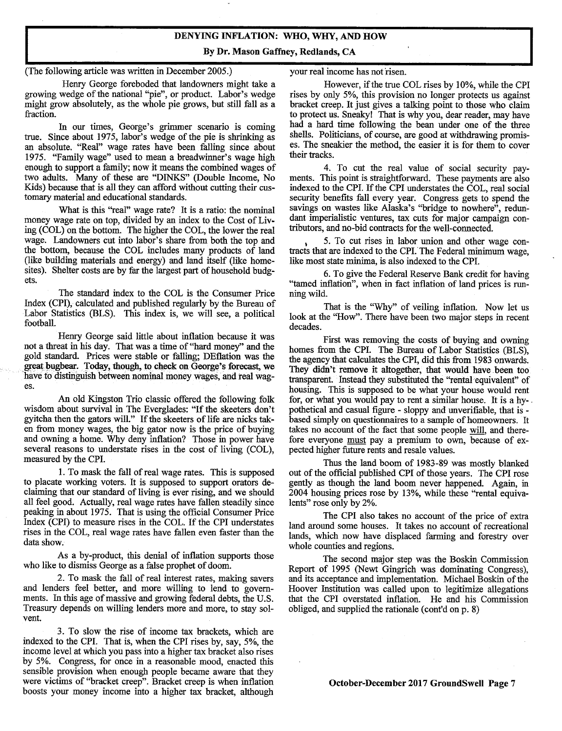## **DENYING INFLATION: WHO, WHY, AND HOW**

**By Dr. Mason Gaffney, Redlands, CA** 

(The following article was written in December 2005.)

Henry George foreboded that landowners might take a growing wedge of the national "pie", or product. Labor's wedge might grow absolutely, as the whole pie grows, but still fall as a fraction.

In our times, George's grimmer scenario is coming true. Since about *1975,* labor's wedge of the pie is shrinking as an absolute. "Real" wage rates have been falling since about *1975.* "Family wage" used to mean a breadwinner's wage high enough to support a family; now it means the combined wages of two adults. Many of these are "D1NKS" (Double Income, No Kids) because that is all they can afford without cutting their customary material and educational standards.

What is this "real" wage rate? It is a ratio: the nominal money wage rate on top, divided by an index to the Cost of Living (COL) on the bottom. The higher the COL, the lower the real wage. Landowners cut into labor's share from both the top and the bottom, because the COL includes many products of land (like building materials and energy) and land itself (like homesites). Shelter costs are by far the largest part of household budgets.

The standard index to the COL is the Consumer Price Index (CPI), calculated and published regularly by the Bureau of Labor Statistics (BLS). This index is, we will see, a political football.

Henry George said little about inflation because it was not a threat in his day. That was a time of "hard money" and the gold standard. Prices were stable or falling; DEflation was the great bugbear. Today, though, to check on George's forecast, we have to distinguish between nominal money wages, and real wages.

An old Kingston Trio classic offered the following folk wisdom about survival in The Everglades: "If the skeeters don't gyitcha then the gators will." If the skeeters of life are nicks taken from money wages, the big gator now is the price of buying and owning a home. Why deny inflation? Those in power have several reasons to understate rises in the cost of living (COL), measured by the CPI.

1.To mask the fall of real wage rates. This is supposed to placate working voters. It is supposed to support orators declaiming that our standard of living is ever rising, and we should all feel good. Actually, real wage rates have fallen steadily since peaking in about *1975.* That is using the official Consumer Price Index (CPI) to measure rises in the COL. If the CPI understates rises in the COL, real wage rates have fallen even faster than the data show.

As a by-product, this denial of inflation supports those who like to dismiss George as a false prophet of doom.

2. To mask the fall of real interest rates, making savers and lenders feel better, and more willing to lend to governments. In this age of massive and growing federal debts, the U.S. Treasury depends on willing lenders more and more, to stay solvent.

3. To slow the rise of income tax brackets, which are indexed to the CPI. That is, when the CPI rises by, say, *5%,* the income level at which you pass into a higher tax bracket also rises by *5%.* Congress, for once in a reasonable mood, enacted this sensible provision when enough people became aware that they were victims of "bracket creep". Bracket creep is when inflation boosts your money income into a higher tax bracket, although your real income has not risen.

However, if the true COL rises by 10%, while the CPI rises by only 5%, this provision no longer protects us against bracket creep. It just gives a talking point to those who claim to protect us. Sneaky! That is why you, dear reader, may have had a hard time following the bean under one of the three shells. Politicians, of course, are good at withdrawing promises. The sneakier the method, the easier it is for them to cover their tracks.

4. To cut the real value of social security payments. This point is straightforward. These payments are also indexed to the CPI. If the CPI understates the COL, real social security benefits fall every year. Congress gets to spend the savings on wastes like Alaska's "bridge to nowhere", redundant imperialistic ventures, tax cuts for major campaign contributors, and no-bid contracts for the well-connected.

5. To cut rises in labor union and other wage contracts that are indexed to the CPI. The Federal minimum wage, like most state minima, is also indexed to the CPI.

6.To give the Federal Reserve Bank credit for having "tamed inflation", when in fact inflation of land prices is running wild.

That is the "Why" of veiling inflation. Now let us look at the "How". There have been two major steps in recent decades.

First was removing the costs of buying and owning homes from the CPI. The Bureau of Labor Statistics (BLS), the agency that calculates the CPI, did this from 1983 onwards. They didn't remove it altogether, that would have been too transparent. Instead they substituted the "rental equivalent" of housing. This is supposed to be what your house would rent for, or what you would pay to rent a similar house. It is a hypothetical and casual figure - sloppy and unverifiable, that is based simply on questionnaires to a sample of homeowners. It takes no account of the fact that some people will, and therefore everyone must pay a premium to own, because of expected higher future rents and resale values.

Thus the land boom of 1983-89 was mostly blanked out of the official published CPI of those years. The CPI rose gently as though the land boom never happened. Again, in 2004 housing prices rose by 13%, while these "rental equivalents" rose only by 2%.

The CPI also takes no account of the price of extra land around some houses. It takes no account of recreational lands, which now have displaced farming and forestry over whole counties and regions.

The second major step was the Boskin Commission Report of 1995 (Newt Gingrich was dominating Congress), and its acceptance and implementation. Michael Boskin of the Hoover Institution was called upon to legitimize allegations that the CPI overstated inflation. He and his Commission obliged, and supplied the rationale (cont'd on p. 8)

**October-December 2017 GroundSwell Page** *7*